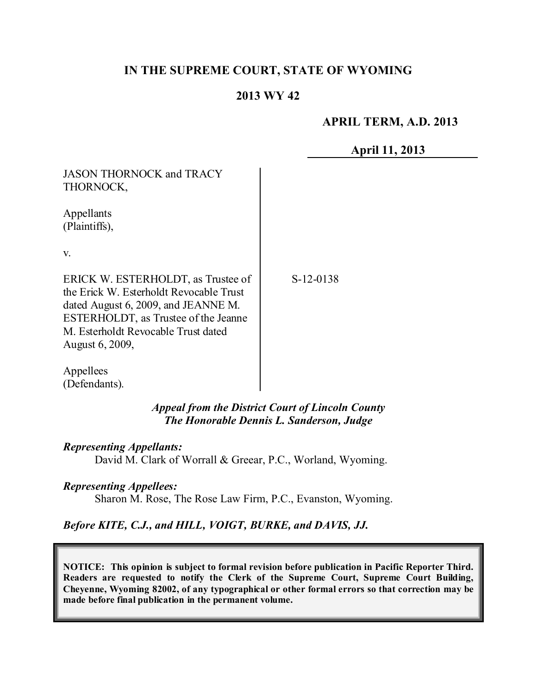# **IN THE SUPREME COURT, STATE OF WYOMING**

## **2013 WY 42**

## **APRIL TERM, A.D. 2013**

**April 11, 2013**

| <b>JASON THORNOCK and TRACY</b>                                                                                                                                                                                        |           |
|------------------------------------------------------------------------------------------------------------------------------------------------------------------------------------------------------------------------|-----------|
| THORNOCK,                                                                                                                                                                                                              |           |
| Appellants<br>(Plaintiffs),                                                                                                                                                                                            |           |
| $V_{\cdot}$                                                                                                                                                                                                            |           |
| ERICK W. ESTERHOLDT, as Trustee of<br>the Erick W. Esterholdt Revocable Trust<br>dated August 6, 2009, and JEANNE M.<br>ESTERHOLDT, as Trustee of the Jeanne<br>M. Esterholdt Revocable Trust dated<br>August 6, 2009, | S-12-0138 |
| Appellees                                                                                                                                                                                                              |           |

*Appeal from the District Court of Lincoln County The Honorable Dennis L. Sanderson, Judge*

#### *Representing Appellants:*

(Defendants).

David M. Clark of Worrall & Greear, P.C., Worland, Wyoming.

#### *Representing Appellees:*

Sharon M. Rose, The Rose Law Firm, P.C., Evanston, Wyoming.

## *Before KITE, C.J., and HILL, VOIGT, BURKE, and DAVIS, JJ.*

**NOTICE: This opinion is subject to formal revision before publication in Pacific Reporter Third. Readers are requested to notify the Clerk of the Supreme Court, Supreme Court Building, Cheyenne, Wyoming 82002, of any typographical or other formal errors so that correction may be made before final publication in the permanent volume.**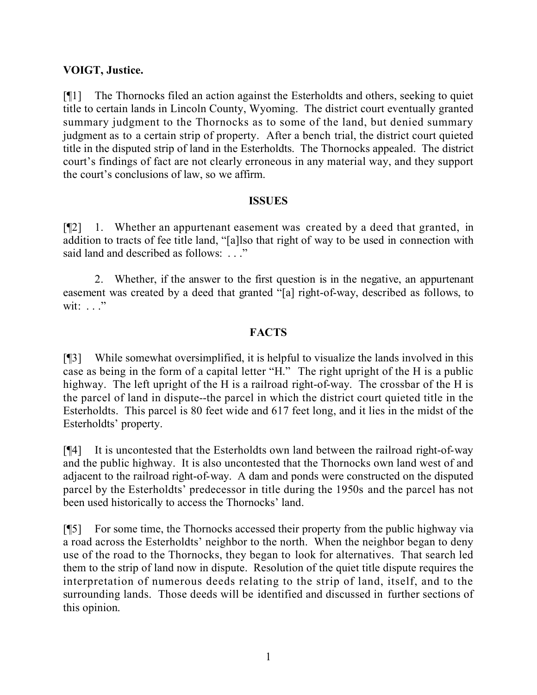## **VOIGT, Justice.**

[¶1] The Thornocks filed an action against the Esterholdts and others, seeking to quiet title to certain lands in Lincoln County, Wyoming. The district court eventually granted summary judgment to the Thornocks as to some of the land, but denied summary judgment as to a certain strip of property. After a bench trial, the district court quieted title in the disputed strip of land in the Esterholdts. The Thornocks appealed. The district court's findings of fact are not clearly erroneous in any material way, and they support the court's conclusions of law, so we affirm.

## **ISSUES**

[¶2] 1. Whether an appurtenant easement was created by a deed that granted, in addition to tracts of fee title land, "[a]lso that right of way to be used in connection with said land and described as follows: . . ."

2. Whether, if the answer to the first question is in the negative, an appurtenant easement was created by a deed that granted "[a] right-of-way, described as follows, to wit:  $\ldots$  ."

# **FACTS**

[¶3] While somewhat oversimplified, it is helpful to visualize the lands involved in this case as being in the form of a capital letter "H." The right upright of the H is a public highway. The left upright of the H is a railroad right-of-way. The crossbar of the H is the parcel of land in dispute--the parcel in which the district court quieted title in the Esterholdts. This parcel is 80 feet wide and 617 feet long, and it lies in the midst of the Esterholdts' property.

[¶4] It is uncontested that the Esterholdts own land between the railroad right-of-way and the public highway. It is also uncontested that the Thornocks own land west of and adjacent to the railroad right-of-way. A dam and ponds were constructed on the disputed parcel by the Esterholdts' predecessor in title during the 1950s and the parcel has not been used historically to access the Thornocks' land.

[¶5] For some time, the Thornocks accessed their property from the public highway via a road across the Esterholdts' neighbor to the north. When the neighbor began to deny use of the road to the Thornocks, they began to look for alternatives. That search led them to the strip of land now in dispute. Resolution of the quiet title dispute requires the interpretation of numerous deeds relating to the strip of land, itself, and to the surrounding lands. Those deeds will be identified and discussed in further sections of this opinion.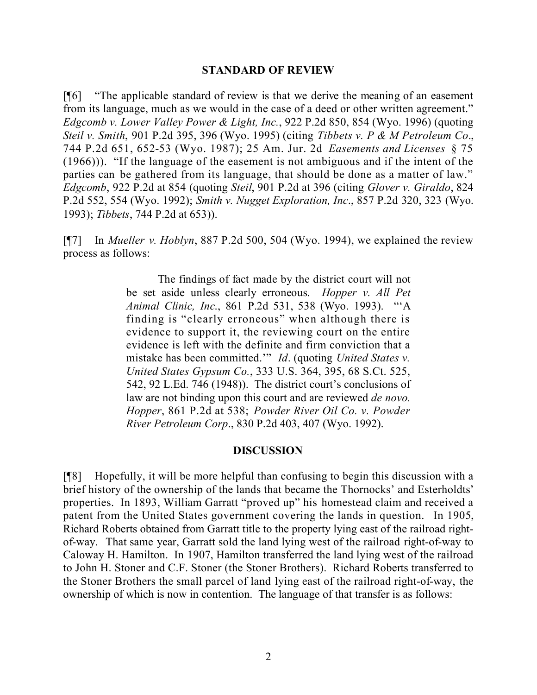#### **STANDARD OF REVIEW**

[¶6] "The applicable standard of review is that we derive the meaning of an easement from its language, much as we would in the case of a deed or other written agreement." *Edgcomb v. Lower Valley Power & Light, Inc.*, 922 P.2d 850, 854 (Wyo. 1996) (quoting *Steil v. Smith*, 901 P.2d 395, 396 (Wyo. 1995) (citing *Tibbets v. P & M Petroleum Co*., 744 P.2d 651, 652-53 (Wyo. 1987); 25 Am. Jur. 2d *Easements and Licenses* § 75 (1966))). "If the language of the easement is not ambiguous and if the intent of the parties can be gathered from its language, that should be done as a matter of law." *Edgcomb*, 922 P.2d at 854 (quoting *Steil*, 901 P.2d at 396 (citing *Glover v. Giraldo*, 824 P.2d 552, 554 (Wyo. 1992); *Smith v. Nugget Exploration, Inc*., 857 P.2d 320, 323 (Wyo. 1993); *Tibbets*, 744 P.2d at 653)).

[¶7] In *Mueller v. Hoblyn*, 887 P.2d 500, 504 (Wyo. 1994), we explained the review process as follows:

> The findings of fact made by the district court will not be set aside unless clearly erroneous. *Hopper v. All Pet Animal Clinic, Inc*., 861 P.2d 531, 538 (Wyo. 1993). "'A finding is "clearly erroneous" when although there is evidence to support it, the reviewing court on the entire evidence is left with the definite and firm conviction that a mistake has been committed.'" *Id*. (quoting *United States v. United States Gypsum Co.*, 333 U.S. 364, 395, 68 S.Ct. 525, 542, 92 L.Ed. 746 (1948)). The district court's conclusions of law are not binding upon this court and are reviewed *de novo. Hopper*, 861 P.2d at 538; *Powder River Oil Co. v. Powder River Petroleum Corp*., 830 P.2d 403, 407 (Wyo. 1992).

#### **DISCUSSION**

[¶8] Hopefully, it will be more helpful than confusing to begin this discussion with a brief history of the ownership of the lands that became the Thornocks' and Esterholdts' properties. In 1893, William Garratt "proved up" his homestead claim and received a patent from the United States government covering the lands in question. In 1905, Richard Roberts obtained from Garratt title to the property lying east of the railroad rightof-way. That same year, Garratt sold the land lying west of the railroad right-of-way to Caloway H. Hamilton. In 1907, Hamilton transferred the land lying west of the railroad to John H. Stoner and C.F. Stoner (the Stoner Brothers). Richard Roberts transferred to the Stoner Brothers the small parcel of land lying east of the railroad right-of-way, the ownership of which is now in contention. The language of that transfer is as follows: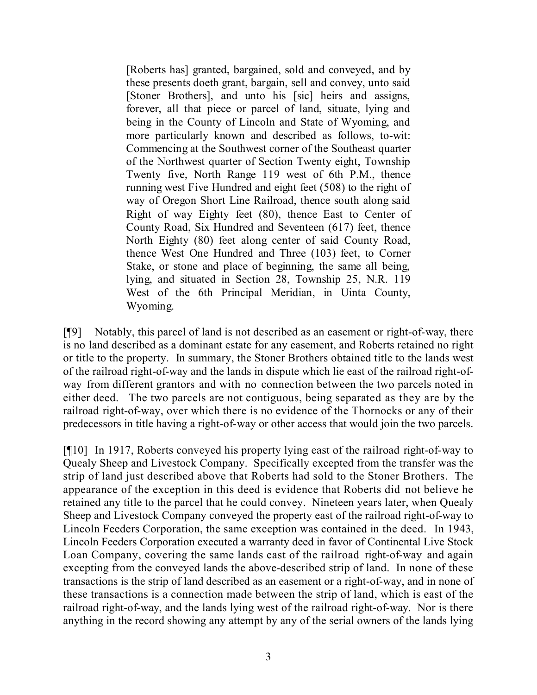[Roberts has] granted, bargained, sold and conveyed, and by these presents doeth grant, bargain, sell and convey, unto said [Stoner Brothers], and unto his [sic] heirs and assigns, forever, all that piece or parcel of land, situate, lying and being in the County of Lincoln and State of Wyoming, and more particularly known and described as follows, to-wit: Commencing at the Southwest corner of the Southeast quarter of the Northwest quarter of Section Twenty eight, Township Twenty five, North Range 119 west of 6th P.M., thence running west Five Hundred and eight feet (508) to the right of way of Oregon Short Line Railroad, thence south along said Right of way Eighty feet (80), thence East to Center of County Road, Six Hundred and Seventeen (617) feet, thence North Eighty (80) feet along center of said County Road, thence West One Hundred and Three (103) feet, to Corner Stake, or stone and place of beginning, the same all being, lying, and situated in Section 28, Township 25, N.R. 119 West of the 6th Principal Meridian, in Uinta County, Wyoming.

[¶9] Notably, this parcel of land is not described as an easement or right-of-way, there is no land described as a dominant estate for any easement, and Roberts retained no right or title to the property. In summary, the Stoner Brothers obtained title to the lands west of the railroad right-of-way and the lands in dispute which lie east of the railroad right-ofway from different grantors and with no connection between the two parcels noted in either deed. The two parcels are not contiguous, being separated as they are by the railroad right-of-way, over which there is no evidence of the Thornocks or any of their predecessors in title having a right-of-way or other access that would join the two parcels.

[¶10] In 1917, Roberts conveyed his property lying east of the railroad right-of-way to Quealy Sheep and Livestock Company. Specifically excepted from the transfer was the strip of land just described above that Roberts had sold to the Stoner Brothers. The appearance of the exception in this deed is evidence that Roberts did not believe he retained any title to the parcel that he could convey. Nineteen years later, when Quealy Sheep and Livestock Company conveyed the property east of the railroad right-of-way to Lincoln Feeders Corporation, the same exception was contained in the deed. In 1943, Lincoln Feeders Corporation executed a warranty deed in favor of Continental Live Stock Loan Company, covering the same lands east of the railroad right-of-way and again excepting from the conveyed lands the above-described strip of land. In none of these transactions is the strip of land described as an easement or a right-of-way, and in none of these transactions is a connection made between the strip of land, which is east of the railroad right-of-way, and the lands lying west of the railroad right-of-way. Nor is there anything in the record showing any attempt by any of the serial owners of the lands lying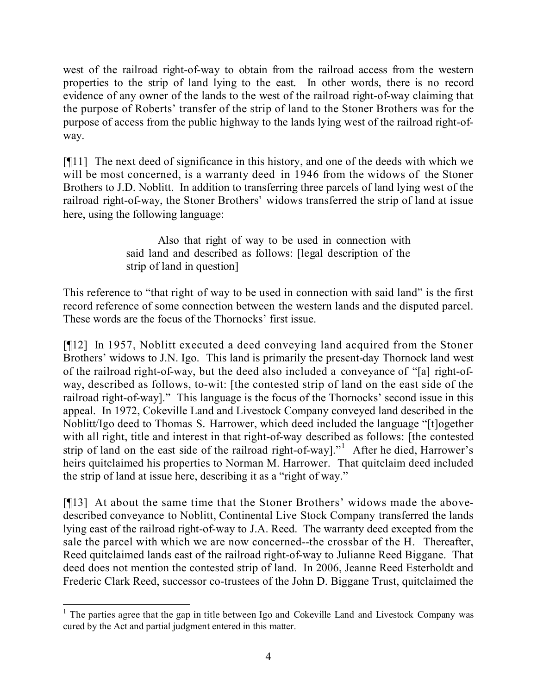west of the railroad right-of-way to obtain from the railroad access from the western properties to the strip of land lying to the east. In other words, there is no record evidence of any owner of the lands to the west of the railroad right-of-way claiming that the purpose of Roberts' transfer of the strip of land to the Stoner Brothers was for the purpose of access from the public highway to the lands lying west of the railroad right-ofway.

[¶11] The next deed of significance in this history, and one of the deeds with which we will be most concerned, is a warranty deed in 1946 from the widows of the Stoner Brothers to J.D. Noblitt. In addition to transferring three parcels of land lying west of the railroad right-of-way, the Stoner Brothers' widows transferred the strip of land at issue here, using the following language:

> Also that right of way to be used in connection with said land and described as follows: [legal description of the strip of land in question]

This reference to "that right of way to be used in connection with said land" is the first record reference of some connection between the western lands and the disputed parcel. These words are the focus of the Thornocks' first issue.

[¶12] In 1957, Noblitt executed a deed conveying land acquired from the Stoner Brothers' widows to J.N. Igo. This land is primarily the present-day Thornock land west of the railroad right-of-way, but the deed also included a conveyance of "[a] right-ofway, described as follows, to-wit: [the contested strip of land on the east side of the railroad right-of-way]." This language is the focus of the Thornocks' second issue in this appeal. In 1972, Cokeville Land and Livestock Company conveyed land described in the Noblitt/Igo deed to Thomas S. Harrower, which deed included the language "[t]ogether with all right, title and interest in that right-of-way described as follows: [the contested strip of land on the east side of the railroad right-of-way]."<sup>1</sup> After he died, Harrower's heirs quitclaimed his properties to Norman M. Harrower. That quitclaim deed included the strip of land at issue here, describing it as a "right of way."

[¶13] At about the same time that the Stoner Brothers' widows made the abovedescribed conveyance to Noblitt, Continental Live Stock Company transferred the lands lying east of the railroad right-of-way to J.A. Reed. The warranty deed excepted from the sale the parcel with which we are now concerned--the crossbar of the H. Thereafter, Reed quitclaimed lands east of the railroad right-of-way to Julianne Reed Biggane. That deed does not mention the contested strip of land. In 2006, Jeanne Reed Esterholdt and Frederic Clark Reed, successor co-trustees of the John D. Biggane Trust, quitclaimed the

  $<sup>1</sup>$  The parties agree that the gap in title between Igo and Cokeville Land and Livestock Company was</sup> cured by the Act and partial judgment entered in this matter.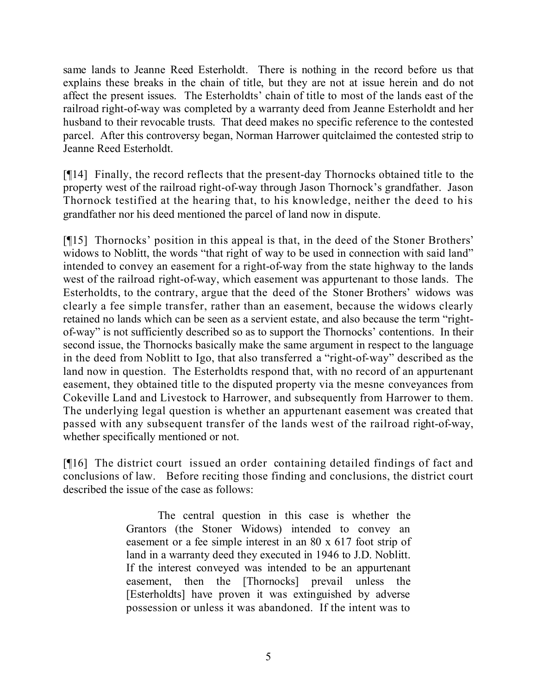same lands to Jeanne Reed Esterholdt. There is nothing in the record before us that explains these breaks in the chain of title, but they are not at issue herein and do not affect the present issues. The Esterholdts' chain of title to most of the lands east of the railroad right-of-way was completed by a warranty deed from Jeanne Esterholdt and her husband to their revocable trusts. That deed makes no specific reference to the contested parcel. After this controversy began, Norman Harrower quitclaimed the contested strip to Jeanne Reed Esterholdt.

[¶14] Finally, the record reflects that the present-day Thornocks obtained title to the property west of the railroad right-of-way through Jason Thornock's grandfather. Jason Thornock testified at the hearing that, to his knowledge, neither the deed to his grandfather nor his deed mentioned the parcel of land now in dispute.

[¶15] Thornocks' position in this appeal is that, in the deed of the Stoner Brothers' widows to Noblitt, the words "that right of way to be used in connection with said land" intended to convey an easement for a right-of-way from the state highway to the lands west of the railroad right-of-way, which easement was appurtenant to those lands. The Esterholdts, to the contrary, argue that the deed of the Stoner Brothers' widows was clearly a fee simple transfer, rather than an easement, because the widows clearly retained no lands which can be seen as a servient estate, and also because the term "rightof-way" is not sufficiently described so as to support the Thornocks' contentions. In their second issue, the Thornocks basically make the same argument in respect to the language in the deed from Noblitt to Igo, that also transferred a "right-of-way" described as the land now in question. The Esterholdts respond that, with no record of an appurtenant easement, they obtained title to the disputed property via the mesne conveyances from Cokeville Land and Livestock to Harrower, and subsequently from Harrower to them. The underlying legal question is whether an appurtenant easement was created that passed with any subsequent transfer of the lands west of the railroad right-of-way, whether specifically mentioned or not.

[¶16] The district court issued an order containing detailed findings of fact and conclusions of law. Before reciting those finding and conclusions, the district court described the issue of the case as follows:

> The central question in this case is whether the Grantors (the Stoner Widows) intended to convey an easement or a fee simple interest in an 80 x 617 foot strip of land in a warranty deed they executed in 1946 to J.D. Noblitt. If the interest conveyed was intended to be an appurtenant easement, then the [Thornocks] prevail unless the [Esterholdts] have proven it was extinguished by adverse possession or unless it was abandoned. If the intent was to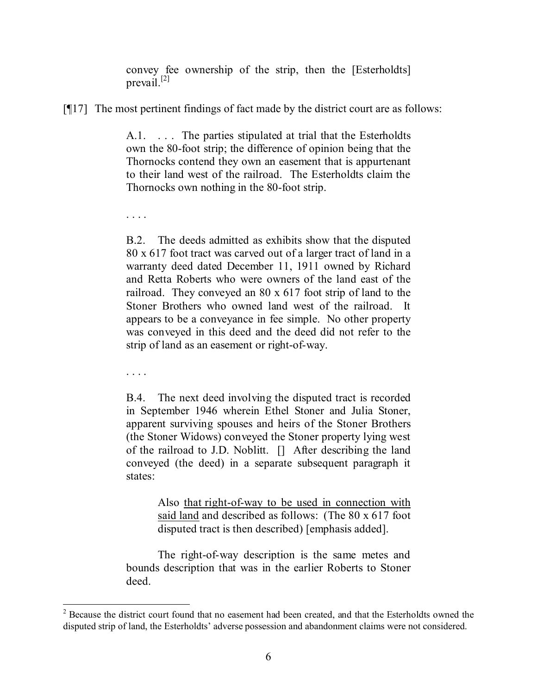convey fee ownership of the strip, then the [Esterholdts] prevail. [2]

[¶17] The most pertinent findings of fact made by the district court are as follows:

A.1. . . . The parties stipulated at trial that the Esterholdts own the 80-foot strip; the difference of opinion being that the Thornocks contend they own an easement that is appurtenant to their land west of the railroad. The Esterholdts claim the Thornocks own nothing in the 80-foot strip.

B.2. The deeds admitted as exhibits show that the disputed 80 x 617 foot tract was carved out of a larger tract of land in a warranty deed dated December 11, 1911 owned by Richard and Retta Roberts who were owners of the land east of the railroad. They conveyed an 80 x 617 foot strip of land to the Stoner Brothers who owned land west of the railroad. It appears to be a conveyance in fee simple. No other property was conveyed in this deed and the deed did not refer to the strip of land as an easement or right-of-way.

. . . .

. . . .

B.4. The next deed involving the disputed tract is recorded in September 1946 wherein Ethel Stoner and Julia Stoner, apparent surviving spouses and heirs of the Stoner Brothers (the Stoner Widows) conveyed the Stoner property lying west of the railroad to J.D. Noblitt. [] After describing the land conveyed (the deed) in a separate subsequent paragraph it states:

> Also that right-of-way to be used in connection with said land and described as follows: (The 80 x 617 foot disputed tract is then described) [emphasis added].

The right-of-way description is the same metes and bounds description that was in the earlier Roberts to Stoner deed.

  $2^2$  Because the district court found that no easement had been created, and that the Esterholdts owned the disputed strip of land, the Esterholdts' adverse possession and abandonment claims were not considered.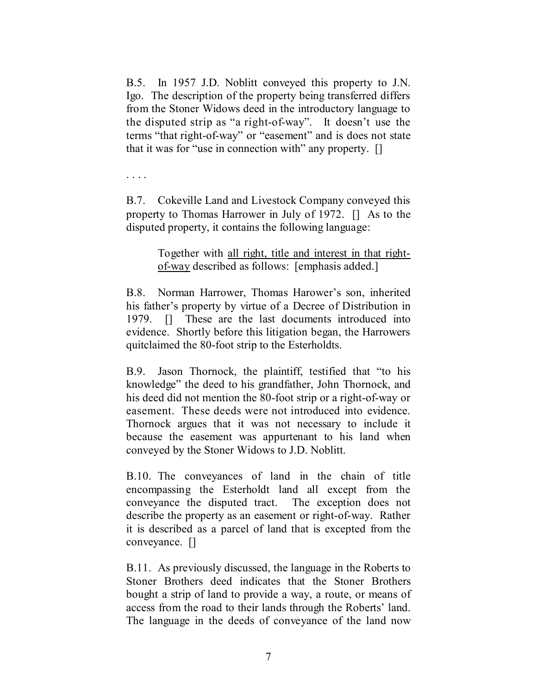B.5. In 1957 J.D. Noblitt conveyed this property to J.N. Igo. The description of the property being transferred differs from the Stoner Widows deed in the introductory language to the disputed strip as "a right-of-way". It doesn't use the terms "that right-of-way" or "easement" and is does not state that it was for "use in connection with" any property. []

. . . .

B.7. Cokeville Land and Livestock Company conveyed this property to Thomas Harrower in July of 1972. [] As to the disputed property, it contains the following language:

> Together with all right, title and interest in that rightof-way described as follows: [emphasis added.]

B.8. Norman Harrower, Thomas Harower's son, inherited his father's property by virtue of a Decree of Distribution in 1979. [] These are the last documents introduced into evidence. Shortly before this litigation began, the Harrowers quitclaimed the 80-foot strip to the Esterholdts.

B.9. Jason Thornock, the plaintiff, testified that "to his knowledge" the deed to his grandfather, John Thornock, and his deed did not mention the 80-foot strip or a right-of-way or easement. These deeds were not introduced into evidence. Thornock argues that it was not necessary to include it because the easement was appurtenant to his land when conveyed by the Stoner Widows to J.D. Noblitt.

B.10. The conveyances of land in the chain of title encompassing the Esterholdt land all except from the conveyance the disputed tract. The exception does not describe the property as an easement or right-of-way. Rather it is described as a parcel of land that is excepted from the conveyance. []

B.11. As previously discussed, the language in the Roberts to Stoner Brothers deed indicates that the Stoner Brothers bought a strip of land to provide a way, a route, or means of access from the road to their lands through the Roberts' land. The language in the deeds of conveyance of the land now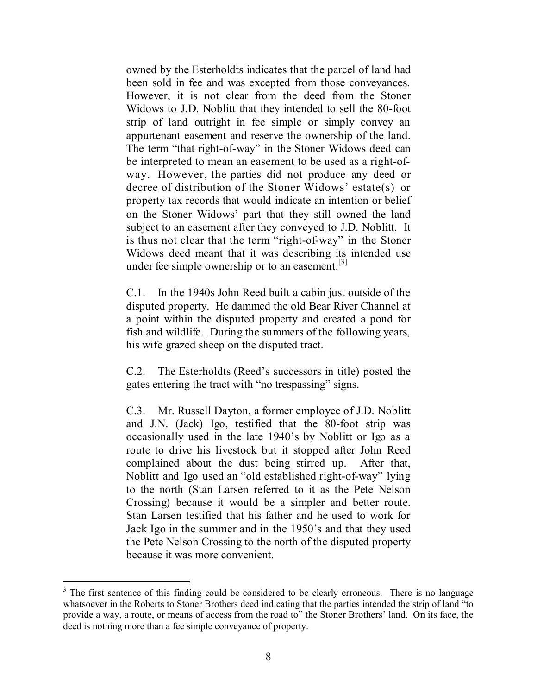owned by the Esterholdts indicates that the parcel of land had been sold in fee and was excepted from those conveyances. However, it is not clear from the deed from the Stoner Widows to J.D. Noblitt that they intended to sell the 80-foot strip of land outright in fee simple or simply convey an appurtenant easement and reserve the ownership of the land. The term "that right-of-way" in the Stoner Widows deed can be interpreted to mean an easement to be used as a right-ofway. However, the parties did not produce any deed or decree of distribution of the Stoner Widows' estate(s) or property tax records that would indicate an intention or belief on the Stoner Widows' part that they still owned the land subject to an easement after they conveyed to J.D. Noblitt. It is thus not clear that the term "right-of-way" in the Stoner Widows deed meant that it was describing its intended use under fee simple ownership or to an easement.<sup>[3]</sup>

C.1. In the 1940s John Reed built a cabin just outside of the disputed property. He dammed the old Bear River Channel at a point within the disputed property and created a pond for fish and wildlife. During the summers of the following years, his wife grazed sheep on the disputed tract.

C.2. The Esterholdts (Reed's successors in title) posted the gates entering the tract with "no trespassing" signs.

C.3. Mr. Russell Dayton, a former employee of J.D. Noblitt and J.N. (Jack) Igo, testified that the 80-foot strip was occasionally used in the late 1940's by Noblitt or Igo as a route to drive his livestock but it stopped after John Reed complained about the dust being stirred up. After that, Noblitt and Igo used an "old established right-of-way" lying to the north (Stan Larsen referred to it as the Pete Nelson Crossing) because it would be a simpler and better route. Stan Larsen testified that his father and he used to work for Jack Igo in the summer and in the 1950's and that they used the Pete Nelson Crossing to the north of the disputed property because it was more convenient.

<sup>&</sup>lt;sup>3</sup> The first sentence of this finding could be considered to be clearly erroneous. There is no language whatsoever in the Roberts to Stoner Brothers deed indicating that the parties intended the strip of land "to provide a way, a route, or means of access from the road to" the Stoner Brothers' land. On its face, the deed is nothing more than a fee simple conveyance of property.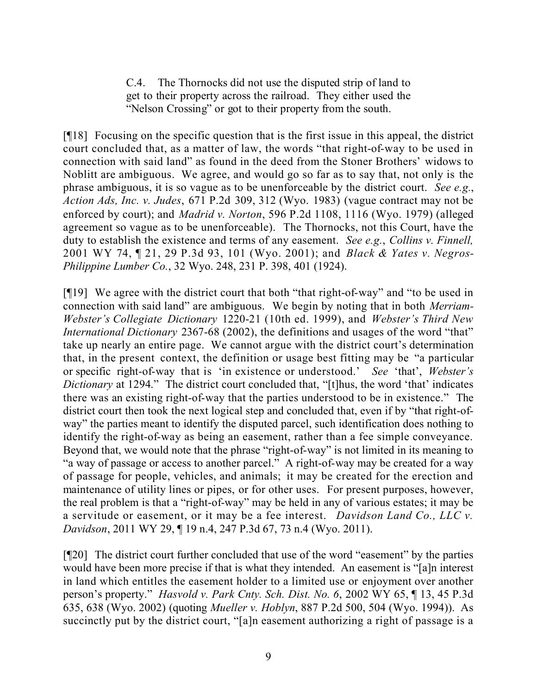C.4. The Thornocks did not use the disputed strip of land to get to their property across the railroad. They either used the "Nelson Crossing" or got to their property from the south.

[¶18] Focusing on the specific question that is the first issue in this appeal, the district court concluded that, as a matter of law, the words "that right-of-way to be used in connection with said land" as found in the deed from the Stoner Brothers' widows to Noblitt are ambiguous. We agree, and would go so far as to say that, not only is the phrase ambiguous, it is so vague as to be unenforceable by the district court. *See e.g.*, *Action Ads, Inc. v. Judes*, 671 P.2d 309, 312 (Wyo. 1983) (vague contract may not be enforced by court); and *Madrid v. Norton*, 596 P.2d 1108, 1116 (Wyo. 1979) (alleged agreement so vague as to be unenforceable). The Thornocks, not this Court, have the duty to establish the existence and terms of any easement. *See e.g.*, *Collins v. Finnell,*  2001 WY 74, ¶ 21, 29 P.3d 93, 101 (Wyo. 2001); and *Black & Yates v. Negros-Philippine Lumber Co.*, 32 Wyo. 248, 231 P. 398, 401 (1924).

[¶19] We agree with the district court that both "that right-of-way" and "to be used in connection with said land" are ambiguous. We begin by noting that in both *Merriam-Webster's Collegiate Dictionary* 1220-21 (10th ed. 1999), and *Webster's Third New International Dictionary* 2367-68 (2002), the definitions and usages of the word "that" take up nearly an entire page. We cannot argue with the district court's determination that, in the present context, the definition or usage best fitting may be "a particular or specific right-of-way that is 'in existence or understood.' *See* 'that', *Webster's Dictionary* at 1294." The district court concluded that, "[t]hus, the word 'that' indicates there was an existing right-of-way that the parties understood to be in existence." The district court then took the next logical step and concluded that, even if by "that right-ofway" the parties meant to identify the disputed parcel, such identification does nothing to identify the right-of-way as being an easement, rather than a fee simple conveyance. Beyond that, we would note that the phrase "right-of-way" is not limited in its meaning to "a way of passage or access to another parcel." A right-of-way may be created for a way of passage for people, vehicles, and animals; it may be created for the erection and maintenance of utility lines or pipes, or for other uses. For present purposes, however, the real problem is that a "right-of-way" may be held in any of various estates; it may be a servitude or easement, or it may be a fee interest. *Davidson Land Co., LLC v. Davidson*, 2011 WY 29, ¶ 19 n.4, 247 P.3d 67, 73 n.4 (Wyo. 2011).

[¶20] The district court further concluded that use of the word "easement" by the parties would have been more precise if that is what they intended. An easement is "[a]n interest in land which entitles the easement holder to a limited use or enjoyment over another person's property." *Hasvold v. Park Cnty. Sch. Dist. No. 6*, 2002 WY 65, ¶ 13, 45 P.3d 635, 638 (Wyo. 2002) (quoting *Mueller v. Hoblyn*, 887 P.2d 500, 504 (Wyo. 1994)). As succinctly put by the district court, "[a]n easement authorizing a right of passage is a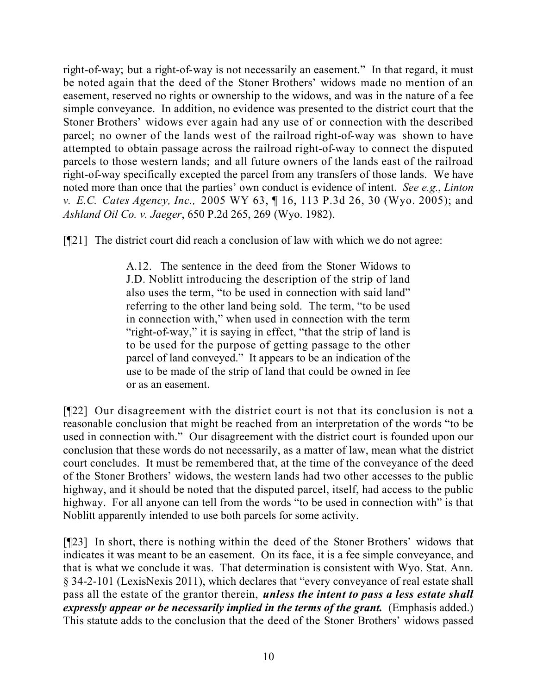right-of-way; but a right-of-way is not necessarily an easement." In that regard, it must be noted again that the deed of the Stoner Brothers' widows made no mention of an easement, reserved no rights or ownership to the widows, and was in the nature of a fee simple conveyance. In addition, no evidence was presented to the district court that the Stoner Brothers' widows ever again had any use of or connection with the described parcel; no owner of the lands west of the railroad right-of-way was shown to have attempted to obtain passage across the railroad right-of-way to connect the disputed parcels to those western lands; and all future owners of the lands east of the railroad right-of-way specifically excepted the parcel from any transfers of those lands. We have noted more than once that the parties' own conduct is evidence of intent. *See e.g.*, *Linton v. E.C. Cates Agency, Inc.,* 2005 WY 63, ¶ 16, 113 P.3d 26, 30 (Wyo. 2005); and *Ashland Oil Co. v. Jaeger*, 650 P.2d 265, 269 (Wyo. 1982).

[¶21] The district court did reach a conclusion of law with which we do not agree:

A.12. The sentence in the deed from the Stoner Widows to J.D. Noblitt introducing the description of the strip of land also uses the term, "to be used in connection with said land" referring to the other land being sold. The term, "to be used in connection with," when used in connection with the term "right-of-way," it is saying in effect, "that the strip of land is to be used for the purpose of getting passage to the other parcel of land conveyed." It appears to be an indication of the use to be made of the strip of land that could be owned in fee or as an easement.

[¶22] Our disagreement with the district court is not that its conclusion is not a reasonable conclusion that might be reached from an interpretation of the words "to be used in connection with." Our disagreement with the district court is founded upon our conclusion that these words do not necessarily, as a matter of law, mean what the district court concludes. It must be remembered that, at the time of the conveyance of the deed of the Stoner Brothers' widows, the western lands had two other accesses to the public highway, and it should be noted that the disputed parcel, itself, had access to the public highway. For all anyone can tell from the words "to be used in connection with" is that Noblitt apparently intended to use both parcels for some activity.

[¶23] In short, there is nothing within the deed of the Stoner Brothers' widows that indicates it was meant to be an easement. On its face, it is a fee simple conveyance, and that is what we conclude it was. That determination is consistent with Wyo. Stat. Ann. § 34-2-101 (LexisNexis 2011), which declares that "every conveyance of real estate shall pass all the estate of the grantor therein, *unless the intent to pass a less estate shall expressly appear or be necessarily implied in the terms of the grant.* (Emphasis added.) This statute adds to the conclusion that the deed of the Stoner Brothers' widows passed